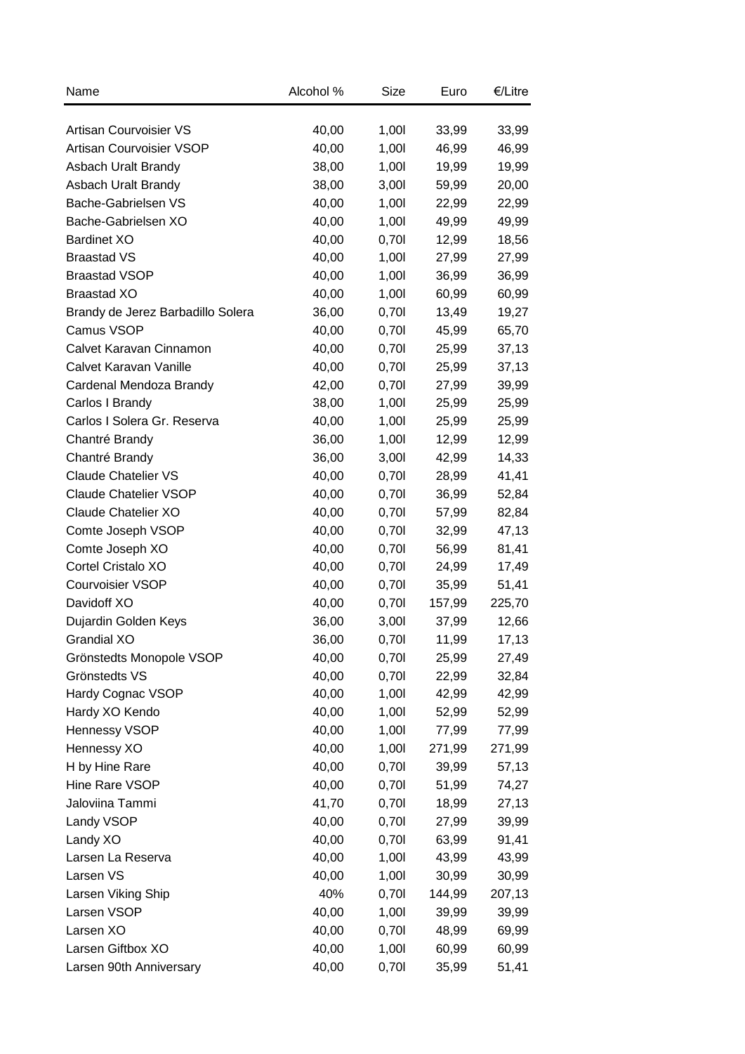| Name                              | Alcohol % | Size  | Euro   | €/Litre |
|-----------------------------------|-----------|-------|--------|---------|
| Artisan Courvoisier VS            | 40,00     | 1,001 | 33,99  | 33,99   |
| <b>Artisan Courvoisier VSOP</b>   | 40,00     | 1,00  | 46,99  | 46,99   |
| Asbach Uralt Brandy               | 38,00     | 1,001 | 19,99  | 19,99   |
| Asbach Uralt Brandy               | 38,00     | 3,001 | 59,99  | 20,00   |
| Bache-Gabrielsen VS               | 40,00     | 1,00  | 22,99  | 22,99   |
| Bache-Gabrielsen XO               | 40,00     | 1,00  | 49,99  | 49,99   |
| <b>Bardinet XO</b>                | 40,00     | 0,701 | 12,99  | 18,56   |
| <b>Braastad VS</b>                | 40,00     | 1,001 | 27,99  | 27,99   |
| <b>Braastad VSOP</b>              | 40,00     | 1,00  | 36,99  | 36,99   |
| <b>Braastad XO</b>                | 40,00     | 1,00  | 60,99  | 60,99   |
| Brandy de Jerez Barbadillo Solera | 36,00     | 0,701 | 13,49  | 19,27   |
| Camus VSOP                        | 40,00     | 0,701 | 45,99  | 65,70   |
| Calvet Karavan Cinnamon           | 40,00     | 0,701 | 25,99  | 37,13   |
| Calvet Karavan Vanille            | 40,00     | 0,701 | 25,99  | 37,13   |
|                                   | 42,00     |       |        |         |
| Cardenal Mendoza Brandy           |           | 0,701 | 27,99  | 39,99   |
| Carlos I Brandy                   | 38,00     | 1,00  | 25,99  | 25,99   |
| Carlos I Solera Gr. Reserva       | 40,00     | 1,00  | 25,99  | 25,99   |
| Chantré Brandy                    | 36,00     | 1,00  | 12,99  | 12,99   |
| Chantré Brandy                    | 36,00     | 3,001 | 42,99  | 14,33   |
| <b>Claude Chatelier VS</b>        | 40,00     | 0,701 | 28,99  | 41,41   |
| <b>Claude Chatelier VSOP</b>      | 40,00     | 0,701 | 36,99  | 52,84   |
| Claude Chatelier XO               | 40,00     | 0,701 | 57,99  | 82,84   |
| Comte Joseph VSOP                 | 40,00     | 0,701 | 32,99  | 47,13   |
| Comte Joseph XO                   | 40,00     | 0,701 | 56,99  | 81,41   |
| Cortel Cristalo XO                | 40,00     | 0,701 | 24,99  | 17,49   |
| Courvoisier VSOP                  | 40,00     | 0,701 | 35,99  | 51,41   |
| Davidoff XO                       | 40,00     | 0,701 | 157,99 | 225,70  |
| Dujardin Golden Keys              | 36,00     | 3,001 | 37,99  | 12,66   |
| Grandial XO                       | 36,00     | 0,70  | 11,99  | 17,13   |
| Grönstedts Monopole VSOP          | 40,00     | 0,701 | 25,99  | 27,49   |
| Grönstedts VS                     | 40,00     | 0,701 | 22,99  | 32,84   |
| Hardy Cognac VSOP                 | 40,00     | 1,001 | 42,99  | 42,99   |
| Hardy XO Kendo                    | 40,00     | 1,00  | 52,99  | 52,99   |
| Hennessy VSOP                     | 40,00     | 1,00  | 77,99  | 77,99   |
| Hennessy XO                       | 40,00     | 1,001 | 271,99 | 271,99  |
| H by Hine Rare                    | 40,00     | 0,701 | 39,99  | 57,13   |
| Hine Rare VSOP                    | 40,00     | 0,701 | 51,99  | 74,27   |
| Jaloviina Tammi                   | 41,70     | 0,701 | 18,99  | 27,13   |
| Landy VSOP                        | 40,00     | 0,701 | 27,99  | 39,99   |
| Landy XO                          | 40,00     | 0,701 | 63,99  | 91,41   |
| Larsen La Reserva                 | 40,00     | 1,00  | 43,99  | 43,99   |
| Larsen VS                         | 40,00     | 1,00  | 30,99  | 30,99   |
| Larsen Viking Ship                | 40%       | 0,701 | 144,99 | 207,13  |
| Larsen VSOP                       | 40,00     | 1,00  | 39,99  | 39,99   |
| Larsen XO                         | 40,00     | 0,701 | 48,99  | 69,99   |
| Larsen Giftbox XO                 | 40,00     | 1,00  | 60,99  | 60,99   |
| Larsen 90th Anniversary           | 40,00     | 0,701 | 35,99  | 51,41   |